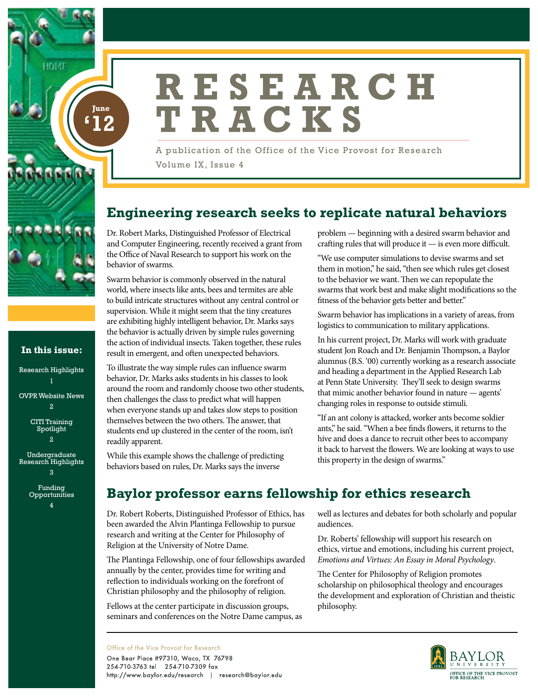

10171

**In this issue:**

Research Highlights

OVPR Website News 2 CITI Training Spotlight 2 Undergraduate Research Highlights 3 Funding Opportunities 4

# RESEARCH TRACKS

A publication of the Office of the Vice Provost for Research Volume IX, Issue 4

# **Engineering research seeks to replicate natural behaviors**

Dr. Robert Marks, Distinguished Professor of Electrical and Computer Engineering, recently received a grant from the Office of Naval Research to support his work on the behavior of swarms.

Swarm behavior is commonly observed in the natural world, where insects like ants, bees and termites are able to build intricate structures without any central control or supervision. While it might seem that the tiny creatures are exhibiting highly intelligent behavior, Dr. Marks says the behavior is actually driven by simple rules governing the action of individual insects. Taken together, these rules result in emergent, and often unexpected behaviors.

To illustrate the way simple rules can influence swarm behavior, Dr. Marks asks students in his classes to look around the room and randomly choose two other students, then challenges the class to predict what will happen when everyone stands up and takes slow steps to position themselves between the two others. The answer, that students end up clustered in the center of the room, isn't readily apparent.

While this example shows the challenge of predicting behaviors based on rules, Dr. Marks says the inverse

problem — beginning with a desired swarm behavior and crafting rules that will produce it — is even more difficult.

"We use computer simulations to devise swarms and set them in motion," he said, "then see which rules get closest to the behavior we want. Then we can repopulate the swarms that work best and make slight modifications so the fitness of the behavior gets better and better."

Swarm behavior has implications in a variety of areas, from logistics to communication to military applications.

In his current project, Dr. Marks will work with graduate student Jon Roach and Dr. Benjamin Thompson, a Baylor alumnus (B.S. '00) currently working as a research associate and heading a department in the Applied Research Lab at Penn State University. They'll seek to design swarms that mimic another behavior found in nature — agents' changing roles in response to outside stimuli.

"If an ant colony is attacked, worker ants become soldier ants," he said. "When a bee finds flowers, it returns to the hive and does a dance to recruit other bees to accompany it back to harvest the flowers. We are looking at ways to use this property in the design of swarms."

# **Baylor professor earns fellowship for ethics research**

Dr. Robert Roberts, Distinguished Professor of Ethics, has been awarded the Alvin Plantinga Fellowship to pursue research and writing at the Center for Philosophy of Religion at the University of Notre Dame.

The Plantinga Fellowship, one of four fellowships awarded annually by the center, provides time for writing and reflection to individuals working on the forefront of Christian philosophy and the philosophy of religion.

Fellows at the center participate in discussion groups, seminars and conferences on the Notre Dame campus, as

well as lectures and debates for both scholarly and popular audiences.

Dr. Roberts' fellowship will support his research on ethics, virtue and emotions, including his current project, *Emotions and Virtues: An Essay in Moral Psychology*.

The Center for Philosophy of Religion promotes scholarship on philosophical theology and encourages the development and exploration of Christian and theistic philosophy.



Office of the Vice Provost for Research

One Bear Place #97310, Waco, TX 76798 254-710-3763 tel 254-710-7309 fax http://www.baylor.edu/research | research@baylor.edu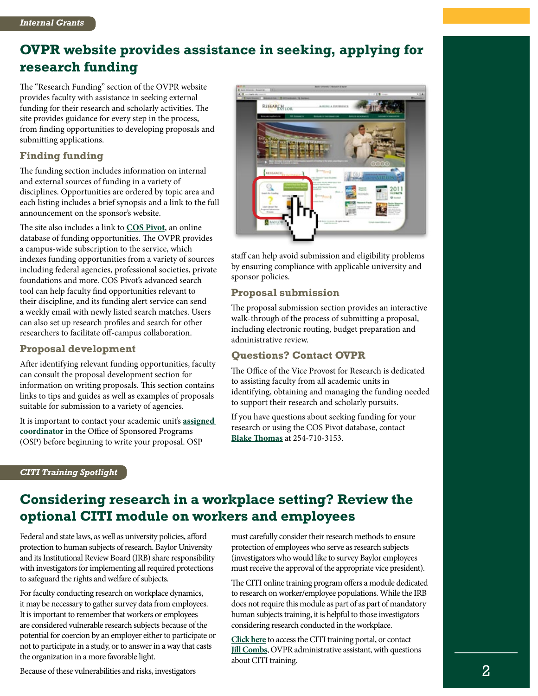### **OVPR website provides assistance in seeking, applying for research funding**

The "Research Funding" section of the OVPR website provides faculty with assistance in seeking external funding for their research and scholarly activities. The site provides guidance for every step in the process, from finding opportunities to developing proposals and submitting applications.

### **Finding funding**

The funding section includes information on internal and external sources of funding in a variety of disciplines. Opportunities are ordered by topic area and each listing includes a brief synopsis and a link to the full announcement on the sponsor's website.

The site also includes a link to **[COS Pivot](http://pivot.cos.com)**, an online database of funding opportunities. The OVPR provides a campus-wide subscription to the service, which indexes funding opportunities from a variety of sources including federal agencies, professional societies, private foundations and more. COS Pivot's advanced search tool can help faculty find opportunities relevant to their discipline, and its funding alert service can send a weekly email with newly listed search matches. Users can also set up research profiles and search for other researchers to facilitate off-campus collaboration.

### **Proposal development**

After identifying relevant funding opportunities, faculty can consult the proposal development section for information on writing proposals. This section contains links to tips and guides as well as examples of proposals suitable for submission to a variety of agencies.

It is important to contact your academic unit's **[assigned](http://www.baylor.edu/research/osp/index.php?id=36122)  [coordinator](http://www.baylor.edu/research/osp/index.php?id=36122)** in the Office of Sponsored Programs (OSP) before beginning to write your proposal. OSP



staff can help avoid submission and eligibility problems by ensuring compliance with applicable university and sponsor policies.

### **Proposal submission**

The proposal submission section provides an interactive walk-through of the process of submitting a proposal, including electronic routing, budget preparation and administrative review.

### **Questions? Contact OVPR**

The Office of the Vice Provost for Research is dedicated to assisting faculty from all academic units in identifying, obtaining and managing the funding needed to support their research and scholarly pursuits.

If you have questions about seeking funding for your research or using the COS Pivot database, contact **[Blake Thomas](mailto:Blake_Thomas%40Baylor.edu?subject=)** at 254-710-3153.

#### *CITI Training Spotlight*

### **Considering research in a workplace setting? Review the optional CITI module on workers and employees**

Federal and state laws, as well as university policies, afford protection to human subjects of research. Baylor University and its Institutional Review Board (IRB) share responsibility with investigators for implementing all required protections to safeguard the rights and welfare of subjects.

For faculty conducting research on workplace dynamics, it may be necessary to gather survey data from employees. It is important to remember that workers or employees are considered vulnerable research subjects because of the potential for coercion by an employer either to participate or not to participate in a study, or to answer in a way that casts the organization in a more favorable light.

must carefully consider their research methods to ensure protection of employees who serve as research subjects (investigators who would like to survey Baylor employees must receive the approval of the appropriate vice president).

The CITI online training program offers a module dedicated to research on worker/employee populations. While the IRB does not require this module as part of as part of mandatory human subjects training, it is helpful to those investigators considering research conducted in the workplace.

**[Click here](https://www.baylor.edu/research/irb/index.php?id=79632)** to access the CITI training portal, or contact **[Jill Combs](mailto:Jill_Combs%40Baylor.edu?subject=)**, OVPR administrative assistant, with questions about CITI training.

Because of these vulnerabilities and risks, investigators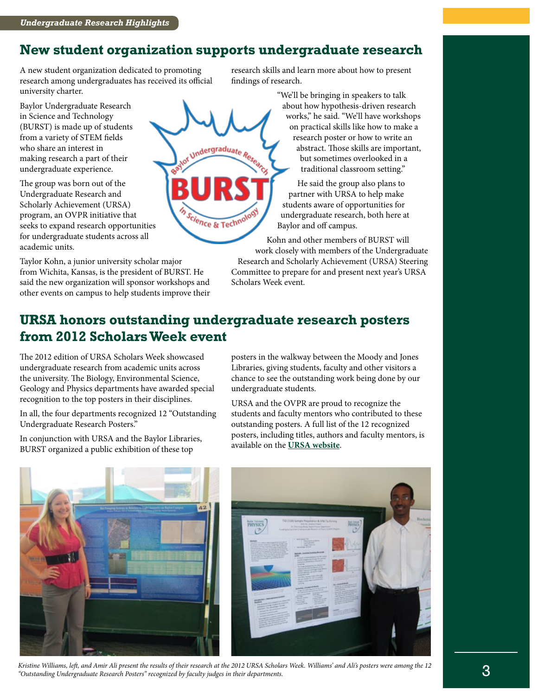### **New student organization supports undergraduate research**

Undergraduate Research

A new student organization dedicated to promoting research among undergraduates has received its official university charter.

Baylor Undergraduate Research in Science and Technology (BURST) is made up of students from a variety of STEM fields who share an interest in making research a part of their undergraduate experience.

The group was born out of the Undergraduate Research and Scholarly Achievement (URSA) program, an OVPR initiative that seeks to expand research opportunities for undergraduate students across all academic units.

Taylor Kohn, a junior university scholar major from Wichita, Kansas, is the president of BURST. He said the new organization will sponsor workshops and other events on campus to help students improve their research skills and learn more about how to present findings of research.

> "We'll be bringing in speakers to talk about how hypothesis-driven research works," he said. "We'll have workshops on practical skills like how to make a research poster or how to write an abstract. Those skills are important, but sometimes overlooked in a traditional classroom setting."

He said the group also plans to partner with URSA to help make students aware of opportunities for undergraduate research, both here at Baylor and off campus.

Kohn and other members of BURST will work closely with members of the Undergraduate Research and Scholarly Achievement (URSA) Steering Committee to prepare for and present next year's URSA Scholars Week event.

### **URSA honors outstanding undergraduate research posters from 2012 Scholars Week event**

Science & Techno

The 2012 edition of URSA Scholars Week showcased undergraduate research from academic units across the university. The Biology, Environmental Science, Geology and Physics departments have awarded special recognition to the top posters in their disciplines.

In all, the four departments recognized 12 "Outstanding Undergraduate Research Posters."

In conjunction with URSA and the Baylor Libraries, BURST organized a public exhibition of these top

posters in the walkway between the Moody and Jones Libraries, giving students, faculty and other visitors a chance to see the outstanding work being done by our undergraduate students.

URSA and the OVPR are proud to recognize the students and faculty mentors who contributed to these outstanding posters. A full list of the 12 recognized posters, including titles, authors and faculty mentors, is available on the **[URSA website](http://www.baylor.edu/research/ursa/index.php?id=88983)**.



*Kristine Williams, left, and Amir Ali present the results of their research at the 2012 URSA Scholars Week. Williams' and Ali's posters were among the 12 "Outstanding Undergraduate Research Posters" recognized by faculty judges in their departments.*